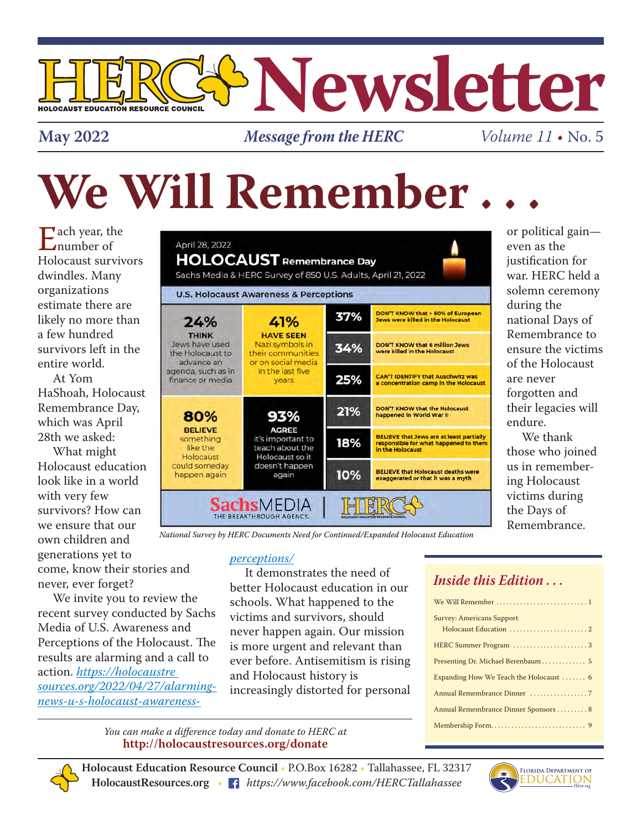

**May 2022** *Message from the HERC*

*Volume 11* • No. 5

# We Will Remember.

 $\mathbf{\Sigma}$  ach year, the  $L$ number of Holocaust survivors dwindles. Many organizations estimate there are likely no more than a few hundred survivors left in the entire world.

At Yom HaShoah, Holocaust Remembrance Day, which was April 28th we asked:

What might Holocaust education look like in a world with very few survivors? How can we ensure that our own children and generations yet to come, know their stories and never, ever forget?

We invite you to review the recent survey conducted by Sachs Media of U.S. Awareness and Perceptions of the Holocaust. The results are alarming and a call to action. *https://holocaustre sources.org/2022/04/27/alarmingnews-u-s-holocaust-awareness-*

| <b>HOLOCAUST</b> Remembrance Day<br>Sachs Media & HERC Survey of 850 U.S. Adults, April 21, 2022<br><b>U.S. Holocaust Awareness &amp; Perceptions</b> |                                                                                                                    |     |                                                                                                              |  |
|-------------------------------------------------------------------------------------------------------------------------------------------------------|--------------------------------------------------------------------------------------------------------------------|-----|--------------------------------------------------------------------------------------------------------------|--|
| 24%<br><b>THINK</b><br>Jews have used<br>the Holocaust to<br>advance an<br>agenda, such as in<br>finance or media                                     | 41%<br><b>HAVE SEEN</b><br>Nazi symbols in<br>their communities<br>or on social media<br>in the last five<br>vears | 37% | DON'T KNOW that > 60% of European<br>Jews were killed in the Holocaust                                       |  |
|                                                                                                                                                       |                                                                                                                    | 34% | <b>DON'T KNOW that 6 million Jews</b><br>were killed in the Holocaust                                        |  |
|                                                                                                                                                       |                                                                                                                    | 25% | <b>CAN'T IDENTIFY that Auschwitz was</b><br>a concentration camp in the Holocaust                            |  |
| 80%<br><b>BELIEVE</b><br>something<br>like the<br>Holocaust<br>could someday<br>happen again                                                          | 93%                                                                                                                | 21% | <b>DON'T KNOW that the Holocaust</b><br>happened in World War II                                             |  |
|                                                                                                                                                       | <b>AGREE</b><br>it's important to<br>teach about the<br>Holocaust so it                                            | 18% | <b>BELIEVE that Jews are at least partially</b><br>responsible for what happened to them<br>in the Holocaust |  |
|                                                                                                                                                       | doesn't happen<br>again                                                                                            | 10% | <b>BELIEVE that Holocaust deaths were</b><br>exaggerated or that it was a myth                               |  |

*National Survey by HERC Documents Need for Continued/Expanded Holocaust Education*

#### *perceptions/*

It demonstrates the need of better Holocaust education in our schools. What happened to the victims and survivors, should never happen again. Our mission is more urgent and relevant than ever before. Antisemitism is rising and Holocaust history is increasingly distorted for personal

#### *Inside this Edition . . .*

| <b>Survey: Americans Support</b>        |  |  |  |
|-----------------------------------------|--|--|--|
|                                         |  |  |  |
| HERC Summer Program 3                   |  |  |  |
| Presenting Dr. Michael Berenbaum 5      |  |  |  |
| Expanding How We Teach the Holocaust  6 |  |  |  |
|                                         |  |  |  |
| Annual Remembrance Dinner Sponsors  8   |  |  |  |
|                                         |  |  |  |

*You can make a difference today and donate to HERC at* **http://holocaustresources.org/donate**

**Holocaust Education Resource Council** • P.O.Box 16282 • Tallahassee, FL 32317 **HolocaustResources.org** • *https://www.facebook.com/HERCTallahassee*



or political gain even as the justification for war. HERC held a solemn ceremony during the national Days of Remembrance to ensure the victims of the Holocaust are never forgotten and their legacies will endure.

We thank those who joined us in remembering Holocaust victims during the Days of Remembrance.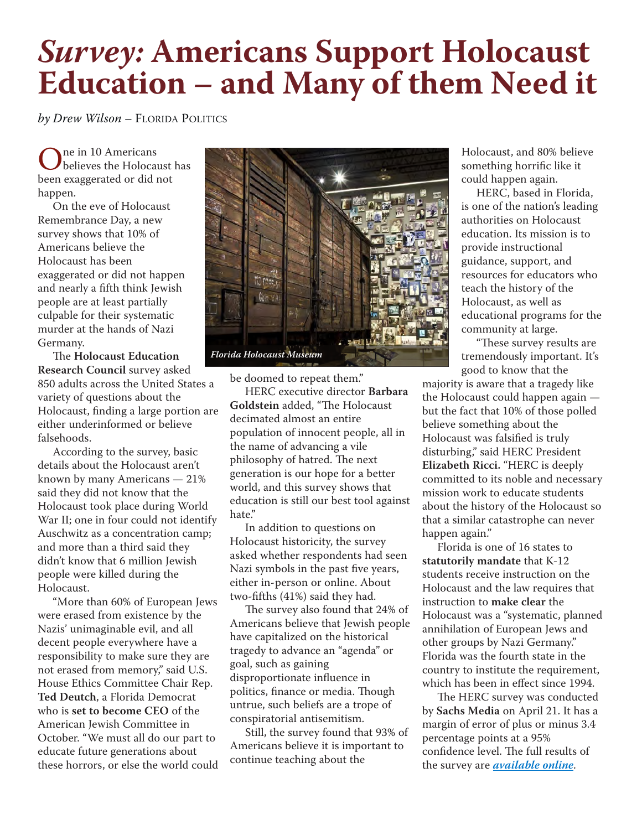## *Survey:* **Americans Support Holocaust Education – and Many of them Need it**

*by Drew Wilson –* FLORIDA POLITICS

One in 10 Americans<br>believes the Holocaust has been exaggerated or did not happen.

On the eve of Holocaust Remembrance Day, a new survey shows that 10% of Americans believe the Holocaust has been exaggerated or did not happen and nearly a fifth think Jewish people are at least partially culpable for their systematic murder at the hands of Nazi Germany.

The **Holocaust Education Research Council** survey asked 850 adults across the United States a variety of questions about the Holocaust, finding a large portion are either underinformed or believe falsehoods.

According to the survey, basic details about the Holocaust aren't known by many Americans — 21% said they did not know that the Holocaust took place during World War II; one in four could not identify Auschwitz as a concentration camp; and more than a third said they didn't know that 6 million Jewish people were killed during the Holocaust.

"More than 60% of European Jews were erased from existence by the Nazis' unimaginable evil, and all decent people everywhere have a responsibility to make sure they are not erased from memory," said U.S. House Ethics Committee Chair Rep. **Ted Deutch**, a Florida Democrat who is **set to become CEO** of the American Jewish Committee in October. "We must all do our part to educate future generations about these horrors, or else the world could



be doomed to repeat them."

HERC executive director **Barbara Goldstein** added, "The Holocaust decimated almost an entire population of innocent people, all in the name of advancing a vile philosophy of hatred. The next generation is our hope for a better world, and this survey shows that education is still our best tool against hate."

In addition to questions on Holocaust historicity, the survey asked whether respondents had seen Nazi symbols in the past five years, either in-person or online. About two-fifths (41%) said they had.

The survey also found that 24% of Americans believe that Jewish people have capitalized on the historical tragedy to advance an "agenda" or goal, such as gaining disproportionate influence in politics, finance or media. Though untrue, such beliefs are a trope of conspiratorial antisemitism.

Still, the survey found that 93% of Americans believe it is important to continue teaching about the

Holocaust, and 80% believe something horrific like it could happen again.

HERC, based in Florida, is one of the nation's leading authorities on Holocaust education. Its mission is to provide instructional guidance, support, and resources for educators who teach the history of the Holocaust, as well as educational programs for the community at large.

"These survey results are tremendously important. It's good to know that the

majority is aware that a tragedy like the Holocaust could happen again but the fact that 10% of those polled believe something about the Holocaust was falsified is truly disturbing," said HERC President **Elizabeth Ricci.** "HERC is deeply committed to its noble and necessary mission work to educate students about the history of the Holocaust so that a similar catastrophe can never happen again."

Florida is one of 16 states to **statutorily mandate** that K-12 students receive instruction on the Holocaust and the law requires that instruction to **make clear** the Holocaust was a "systematic, planned annihilation of European Jews and other groups by Nazi Germany." Florida was the fourth state in the country to institute the requirement, which has been in effect since 1994.

The HERC survey was conducted by **Sachs Media** on April 21. It has a margin of error of plus or minus 3.4 percentage points at a 95% confidence level. The full results of the survey are *available online*.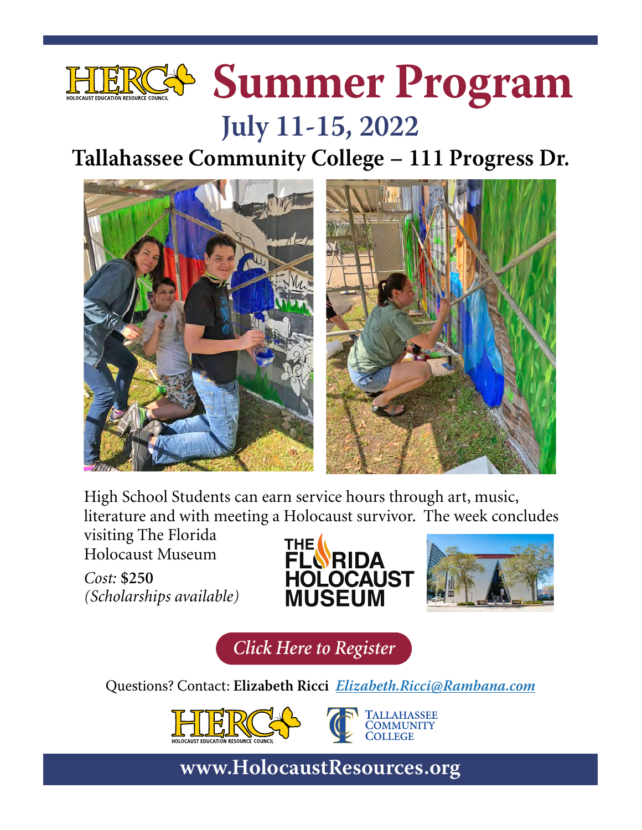

## **July 11-15, 2022**

## **Tallahassee Community College – 111 Progress Dr.**



High School Students can earn service hours through art, music, literature and with meeting a Holocaust survivor. The week concludes

visiting The Florida Holocaust Museum

*Cost:* **\$250** *(Scholarships available)*





*Click Here to Register*

Questions? Contact: **Elizabeth Ricci Elizabeth.Ricci@Rambana.com**



**TALLAHASSEE**<br>COMMUNITY **COLLEGE**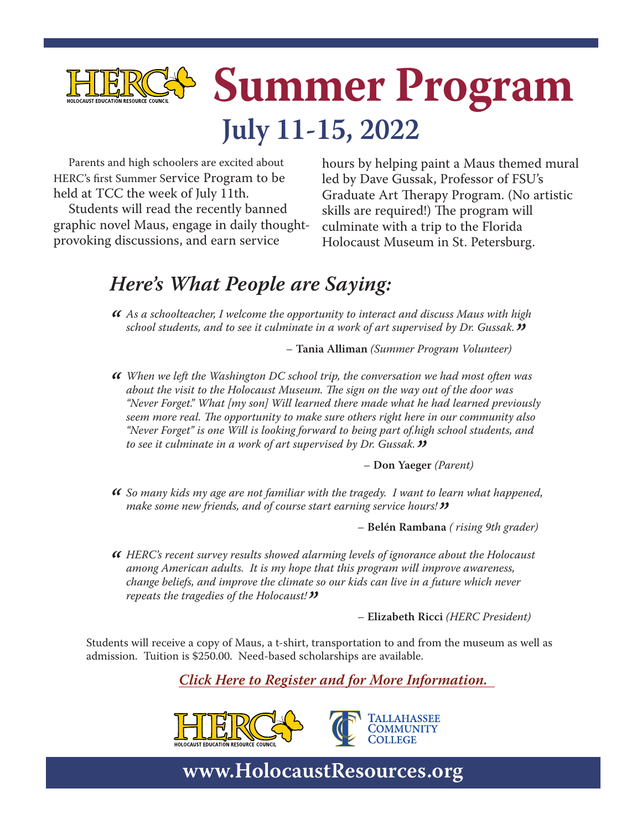

Parents and high schoolers are excited about HERC's first Summer Service Program to be held at TCC the week of July 11th.

Students will read the recently banned graphic novel Maus, engage in daily thoughtprovoking discussions, and earn service

hours by helping paint a Maus themed mural led by Dave Gussak, Professor of FSU's Graduate Art Therapy Program. (No artistic skills are required!) The program will culminate with a trip to the Florida Holocaust Museum in St. Petersburg.

#### *Here's What People are Saying:*

*" As a schoolteacher, I welcome the opportunity to interact and discuss Maus with high school students, and to see it culminate in a work of art supervised by Dr. Gussak."* – **Tania Alliman** *(Summer Program Volunteer)*

*" When we left the Washington DC school trip, the conversation we had most often was about the visit to the Holocaust Museum. The sign on the way out of the door was "Never Forget." What [my son] Will learned there made what he had learned previously seem more real. The opportunity to make sure others right here in our community also "Never Forget" is one Will is looking forward to being part of.high school students, and to see it culminate in a work of art supervised by Dr. Gussak."* – **Don Yaeger** *(Parent)*

*" So many kids my age are not familiar with the tragedy. I want to learn what happened, make some new friends, and of course start earning service hours!"* – **Belén Rambana** *( rising 9th grader)*

*" HERC's recent survey results showed alarming levels of ignorance about the Holocaust among American adults. It is my hope that this program will improve awareness, change beliefs, and improve the climate so our kids can live in a future which never repeats the tragedies of the Holocaust!"* – **Elizabeth Ricci** *(HERC President)*

Students will receive a copy of Maus, a t-shirt, transportation to and from the museum as well as admission. Tuition is \$250.00. Need-based scholarships are available.

*Click Here to Register and for More Information.* 



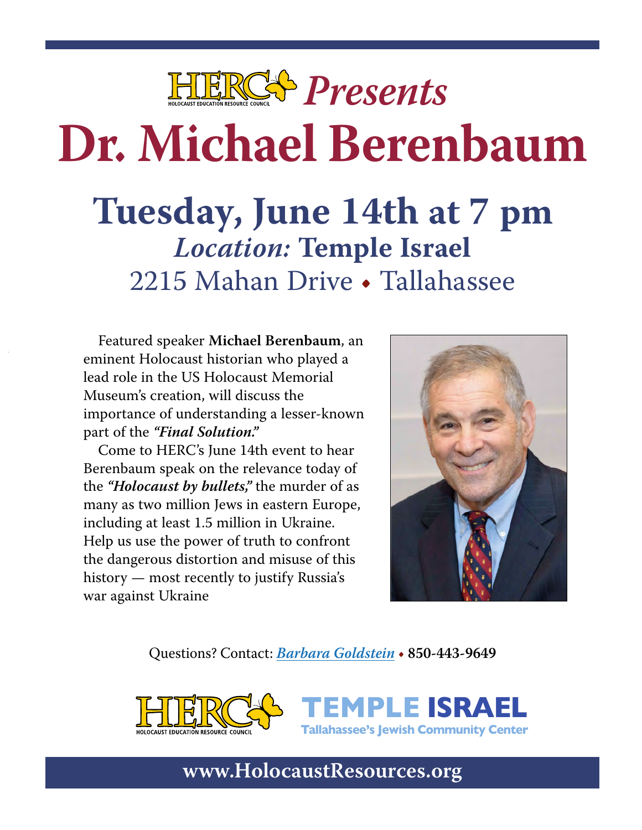

# **Dr. Michael Berenbaum**

# **Tuesday, June 14th at 7 pm Location: Temple Israel**  2215 Mahan Drive • Tallahassee

Featured speaker **Michael Berenbaum**, an eminent Holocaust historian who played a lead role in the US Holocaust Memorial Museum's creation, will discuss the importance of understanding a lesser-known part of the **"Final Solution."**

Come to HERC's June 14th event to hear Berenbaum speak on the relevance today of the **"Holocaust by bullets,"** the murder of as many as two million Jews in eastern Europe, including at least 1.5 million in Ukraine. Help us use the power of truth to confront the dangerous distortion and misuse of this history — most recently to justify Russia's war against Ukraine



Questions? Contact: **Barbara Goldstein • 850-443-9649**





**TEMPLE ISRAEL Tallahassee's Jewish Community Center**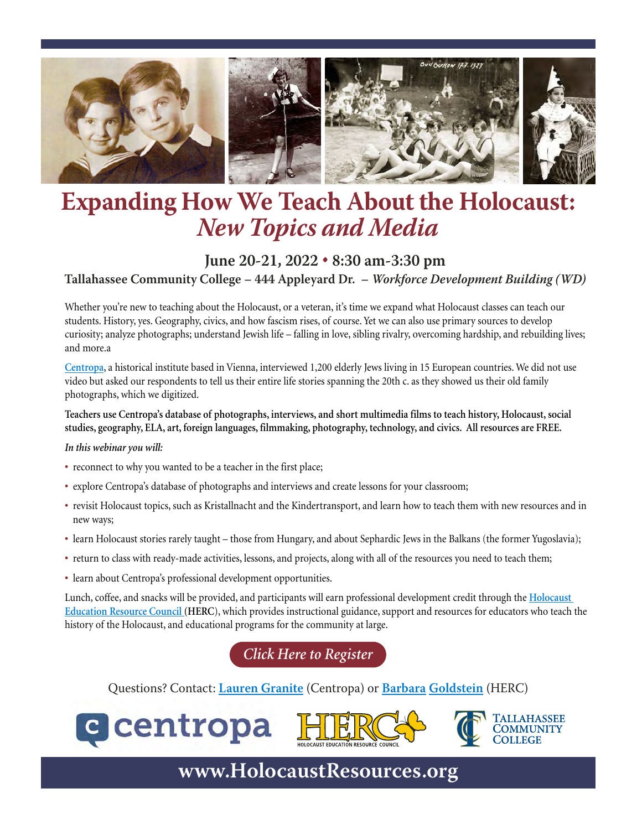

## **Expanding How We Teach About the Holocaust: New Topics and Media**

#### **June 20-21, 2022 • 8:30 am-3:30 pm Tallahassee Community College – 444 Appleyard Dr. – Workforce Development Building (WD)**

Whether you're new to teaching about the Holocaust, or a veteran, it's time we expand what Holocaust classes can teach our students. History, yes. Geography, civics, and how fascism rises, of course. Yet we can also use primary sources to develop curiosity; analyze photographs; understand Jewish life – falling in love, sibling rivalry, overcoming hardship, and rebuilding lives; and more.a

**Centropa**, a historical institute based in Vienna, interviewed 1,200 elderly Jews living in 15 European countries. We did not use video but asked our respondents to tell us their entire life stories spanning the 20th c. as they showed us their old family photographs, which we digitized.

**Teachers use Centropa's database of photographs, interviews, and short multimedia films to teach history, Holocaust, social studies, geography, ELA, art, foreign languages, filmmaking, photography, technology, and civics. All resources are FREE.**

#### *In this webinar you will:*

- **•** reconnect to why you wanted to be a teacher in the first place;
- **•** explore Centropa's database of photographs and interviews and create lessons for your classroom;
- **•** revisit Holocaust topics, such as Kristallnacht and the Kindertransport, and learn how to teach them with new resources and in new ways;
- **•** learn Holocaust stories rarely taught those from Hungary, and about Sephardic Jews in the Balkans (the former Yugoslavia);
- **•** return to class with ready-made activities, lessons, and projects, along with all of the resources you need to teach them;
- learn about Centropa's professional development opportunities.

Lunch, coffee, and snacks will be provided, and participants will earn professional development credit through the **Holocaust Education Resource Council (HERC**), which provides instructional guidance, support and resources for educators who teach the history of the Holocaust, and educational programs for the community at large.

*Click Here to Register*

Questions? Contact: **Lauren Granite** (Centropa) or **Barbara Goldstein** (HERC)





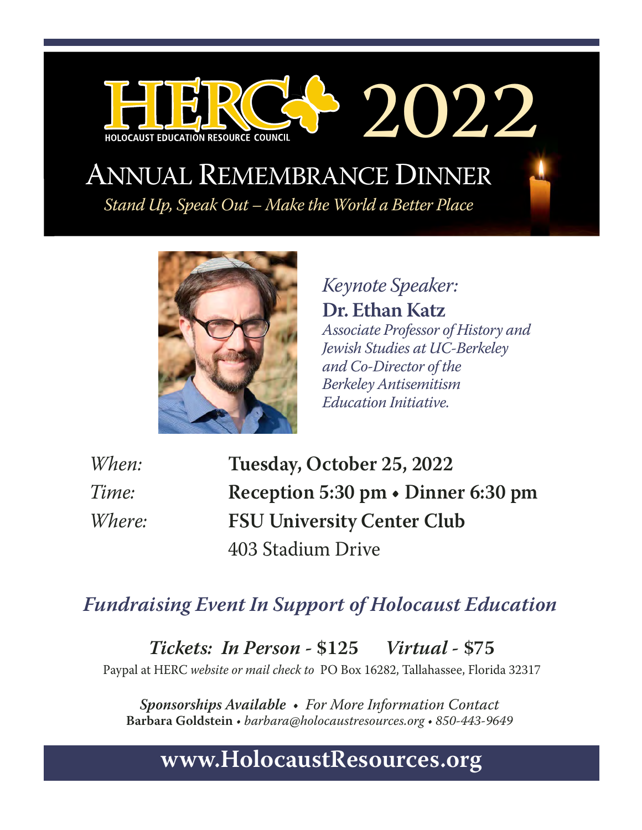## ANNUAL REMEMBRANCE DINNER

Stand Up, Speak Out – Make the World a Better Place



HOLOCAUST EDUCATION RESOURCE COUNCIL

Keynote Speaker: **Dr. Ethan Katz** Associate Professor of History and Jewish Studies at UC-Berkeley and Co-Director of the Berkeley Antisemitism Education Initiative.

2022

When: **Tuesday, October 25, 2022**  Time: **Reception 5:30 pm • Dinner 6:30 pm**  Where: **FSU University Center Club**  403 Stadium Drive

#### **Fundraising Event In Support of Holocaust Education**

**Tickets: In Person - \$125 Virtual - \$75** 

Paypal at HERC website or mail check to PO Box 16282, Tallahassee, Florida 32317

**Sponsorships Available** • For More Information Contact **Barbara Goldstein** • barbara@holocaustresources.org • 850-443-9649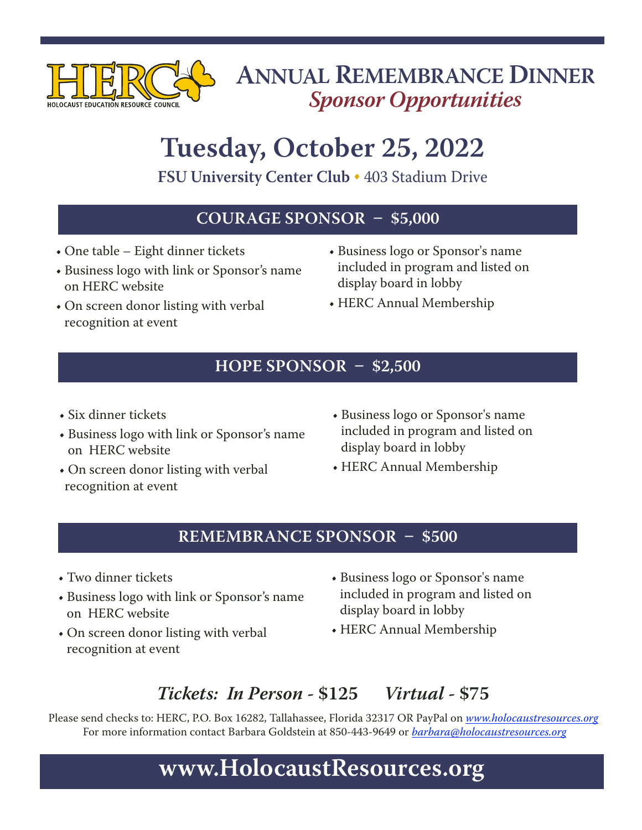

## **ANNUAL REMEMBRANCE DINNER Sponsor Opportunities**

# **Tuesday, October 25, 2022**

**FSU University Center Club •** 403 Stadium Drive

#### **COURAGE SPONSOR – \$5,000**

- One table Eight dinner tickets
- Business logo with link or Sponsor's name on HERC website
- On screen donor listing with verbal recognition at event
- Business logo or Sponsor's name included in program and listed on display board in lobby
- HERC Annual Membership

#### **HOPE SPONSOR – \$2,500**

- Six dinner tickets
- Business logo with link or Sponsor's name on HERC website
- On screen donor listing with verbal recognition at event
- Business logo or Sponsor's name included in program and listed on display board in lobby
- HERC Annual Membership

#### **REMEMBRANCE SPONSOR – \$500**

- Two dinner tickets
- Business logo with link or Sponsor's name on HERC website
- On screen donor listing with verbal recognition at event
- Business logo or Sponsor's name included in program and listed on display board in lobby
- HERC Annual Membership

#### **Tickets: In Person - \$125 Virtual - \$75**

Please send checks to: HERC, P.O. Box 16282, Tallahassee, Florida 32317 OR PayPal on www.holocaustresources.org For more information contact Barbara Goldstein at 850-443-9649 or *barbara@holocaustresources.org*